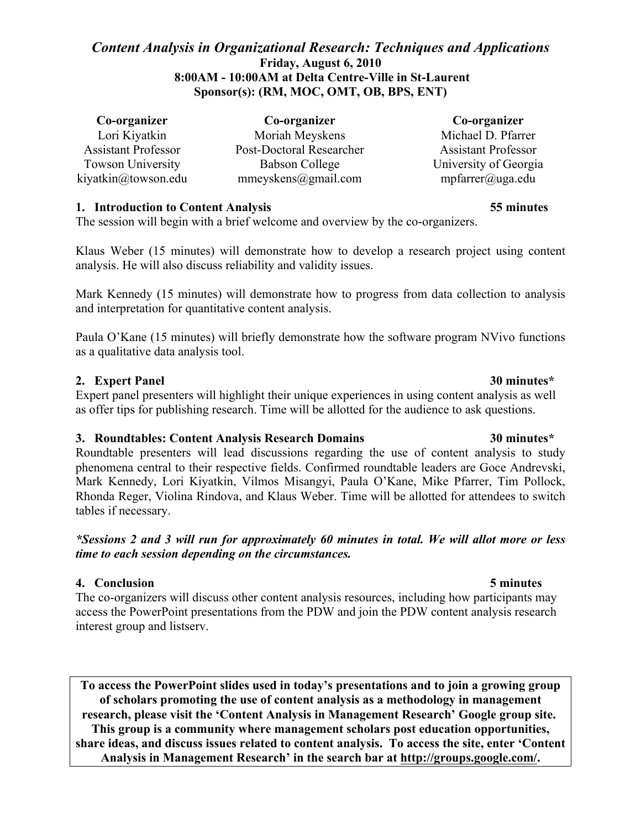# *Content Analysis in Organizational Research: Techniques and Applications* **Friday, August 6, 2010 8:00AM - 10:00AM at Delta Centre-Ville in St-Laurent Sponsor(s): (RM, MOC, OMT, OB, BPS, ENT)**

| Co-organizer                                    | Co-organizer                          | Co-organizer                                         |
|-------------------------------------------------|---------------------------------------|------------------------------------------------------|
| Lori Kiyatkin                                   | Moriah Meyskens                       | Michael D. Pfarrer                                   |
| <b>Assistant Professor</b>                      | Post-Doctoral Researcher              | <b>Assistant Professor</b>                           |
| <b>Towson University</b><br>kiyatkin@towson.edu | Babson College<br>mmeyskens@gmail.com | University of Georgia<br>$mpfarrer(\hat{a})$ uga.edu |

## **1. Introduction to Content Analysis 55 minutes**

The session will begin with a brief welcome and overview by the co-organizers.

Klaus Weber (15 minutes) will demonstrate how to develop a research project using content analysis. He will also discuss reliability and validity issues.

Mark Kennedy (15 minutes) will demonstrate how to progress from data collection to analysis and interpretation for quantitative content analysis.

Paula O'Kane (15 minutes) will briefly demonstrate how the software program NVivo functions as a qualitative data analysis tool.

## **2. Expert Panel 30 minutes\***

Expert panel presenters will highlight their unique experiences in using content analysis as well as offer tips for publishing research. Time will be allotted for the audience to ask questions.

### **3. Roundtables: Content Analysis Research Domains 30 minutes\***

Roundtable presenters will lead discussions regarding the use of content analysis to study phenomena central to their respective fields. Confirmed roundtable leaders are Goce Andrevski, Mark Kennedy, Lori Kiyatkin, Vilmos Misangyi, Paula O'Kane, Mike Pfarrer, Tim Pollock, Rhonda Reger, Violina Rindova, and Klaus Weber. Time will be allotted for attendees to switch tables if necessary.

## *\*Sessions 2 and 3 will run for approximately 60 minutes in total. We will allot more or less time to each session depending on the circumstances.*

## **4. Conclusion 5 minutes**

The co-organizers will discuss other content analysis resources, including how participants may access the PowerPoint presentations from the PDW and join the PDW content analysis research interest group and listserv.

**To access the PowerPoint slides used in today's presentations and to join a growing group of scholars promoting the use of content analysis as a methodology in management research, please visit the 'Content Analysis in Management Research' Google group site. This group is a community where management scholars post education opportunities, share ideas, and discuss issues related to content analysis. To access the site, enter 'Content Analysis in Management Research' in the search bar at http://groups.google.com/.**